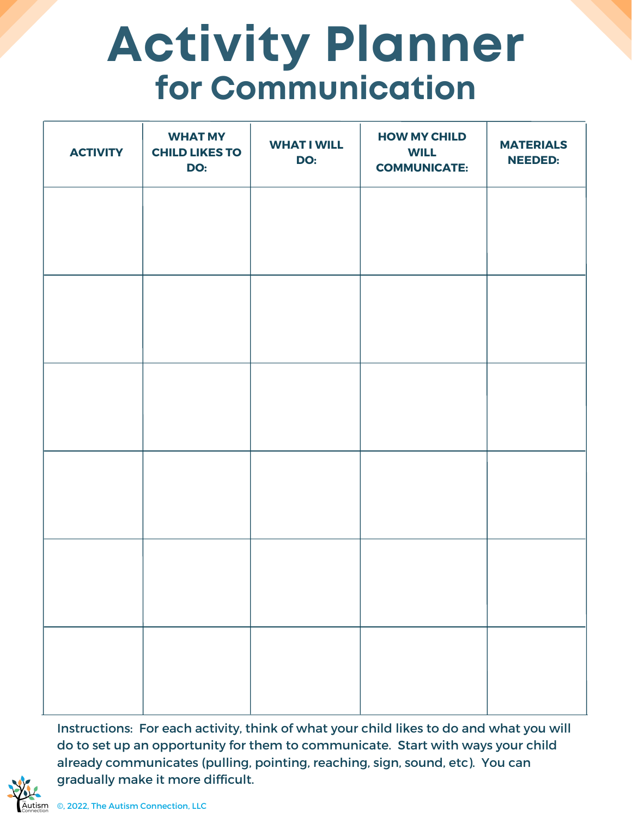## **Activity Planner for Communication**

| <b>ACTIVITY</b> | <b>WHAT MY</b><br><b>CHILD LIKES TO</b><br>DO: | <b>WHAT I WILL</b><br>DO: | <b>HOW MY CHILD</b><br><b>WILL</b><br><b>COMMUNICATE:</b> | <b>MATERIALS</b><br><b>NEEDED:</b> |
|-----------------|------------------------------------------------|---------------------------|-----------------------------------------------------------|------------------------------------|
|                 |                                                |                           |                                                           |                                    |
|                 |                                                |                           |                                                           |                                    |
|                 |                                                |                           |                                                           |                                    |
|                 |                                                |                           |                                                           |                                    |
|                 |                                                |                           |                                                           |                                    |
|                 |                                                |                           |                                                           |                                    |
|                 |                                                |                           |                                                           |                                    |

Instructions: For each activity, think of what your child likes to do and what you will do to set up an opportunity for them to communicate. Start with ways your child already communicates (pulling, pointing, reaching, sign, sound, etc). You can gradually make it more difficult.